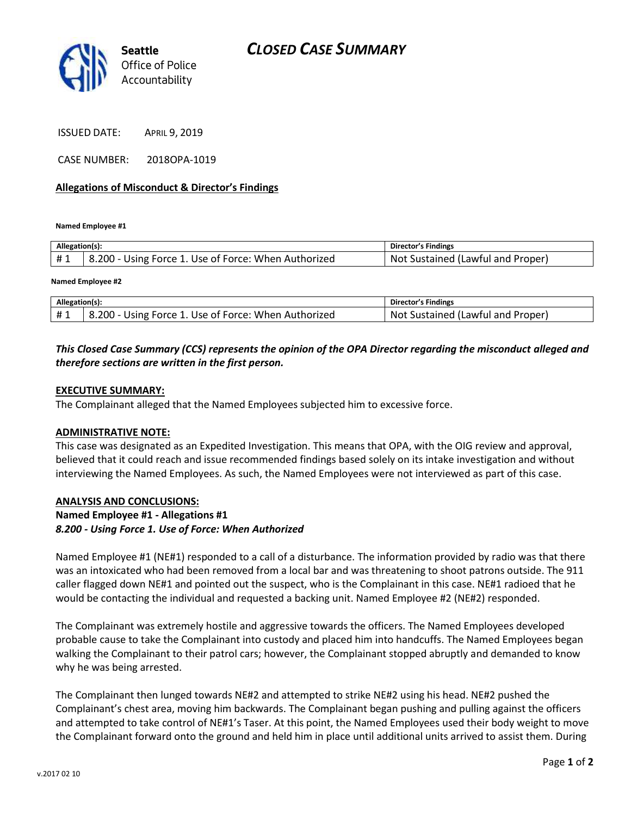

ISSUED DATE: APRIL 9, 2019

CASE NUMBER: 2018OPA-1019

## **Allegations of Misconduct & Director's Findings**

**Named Employee #1**

| Allegation(s): |                                                      | Director's Findings               |
|----------------|------------------------------------------------------|-----------------------------------|
| #1             | 8.200 - Using Force 1. Use of Force: When Authorized | Not Sustained (Lawful and Proper) |
|                |                                                      |                                   |

**Named Employee #2**

| Allegation(s): |                                                           | <b>Director's Findings</b>            |
|----------------|-----------------------------------------------------------|---------------------------------------|
| #1             | 3.200<br>. Use of Force: When Authorized<br>Using Force 1 | -Not<br>Sustained (Lawful and Proper) |

# *This Closed Case Summary (CCS) represents the opinion of the OPA Director regarding the misconduct alleged and therefore sections are written in the first person.*

## **EXECUTIVE SUMMARY:**

The Complainant alleged that the Named Employees subjected him to excessive force.

#### **ADMINISTRATIVE NOTE:**

This case was designated as an Expedited Investigation. This means that OPA, with the OIG review and approval, believed that it could reach and issue recommended findings based solely on its intake investigation and without interviewing the Named Employees. As such, the Named Employees were not interviewed as part of this case.

## **ANALYSIS AND CONCLUSIONS: Named Employee #1 - Allegations #1** *8.200 - Using Force 1. Use of Force: When Authorized*

Named Employee #1 (NE#1) responded to a call of a disturbance. The information provided by radio was that there was an intoxicated who had been removed from a local bar and was threatening to shoot patrons outside. The 911 caller flagged down NE#1 and pointed out the suspect, who is the Complainant in this case. NE#1 radioed that he would be contacting the individual and requested a backing unit. Named Employee #2 (NE#2) responded.

The Complainant was extremely hostile and aggressive towards the officers. The Named Employees developed probable cause to take the Complainant into custody and placed him into handcuffs. The Named Employees began walking the Complainant to their patrol cars; however, the Complainant stopped abruptly and demanded to know why he was being arrested.

The Complainant then lunged towards NE#2 and attempted to strike NE#2 using his head. NE#2 pushed the Complainant's chest area, moving him backwards. The Complainant began pushing and pulling against the officers and attempted to take control of NE#1's Taser. At this point, the Named Employees used their body weight to move the Complainant forward onto the ground and held him in place until additional units arrived to assist them. During